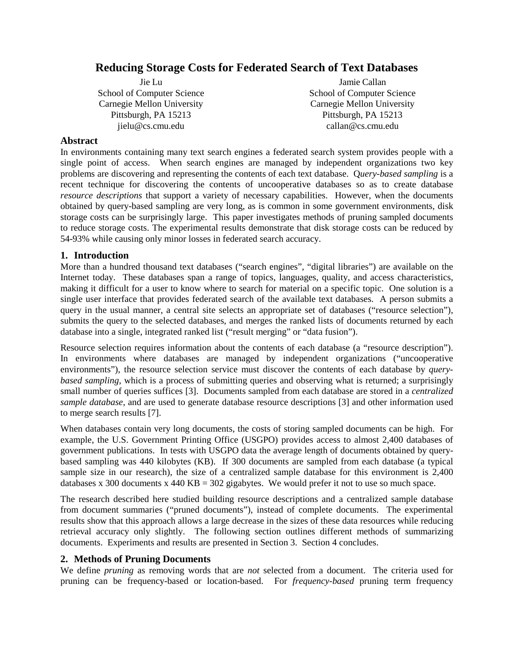# **Reducing Storage Costs for Federated Search of Text Databases**

Jie Lu School of Computer Science Carnegie Mellon University Pittsburgh, PA 15213 jielu@cs.cmu.edu

Jamie Callan School of Computer Science Carnegie Mellon University Pittsburgh, PA 15213 callan@cs.cmu.edu

### **Abstract**

In environments containing many text search engines a federated search system provides people with a single point of access. When search engines are managed by independent organizations two key problems are discovering and representing the contents of each text database. Q*uery-based sampling* is a recent technique for discovering the contents of uncooperative databases so as to create database *resource descriptions* that support a variety of necessary capabilities. However, when the documents obtained by query-based sampling are very long, as is common in some government environments, disk storage costs can be surprisingly large. This paper investigates methods of pruning sampled documents to reduce storage costs. The experimental results demonstrate that disk storage costs can be reduced by 54-93% while causing only minor losses in federated search accuracy.

### **1. Introduction**

More than a hundred thousand text databases ("search engines", "digital libraries") are available on the Internet today. These databases span a range of topics, languages, quality, and access characteristics, making it difficult for a user to know where to search for material on a specific topic. One solution is a single user interface that provides federated search of the available text databases. A person submits a query in the usual manner, a central site selects an appropriate set of databases ("resource selection"), submits the query to the selected databases, and merges the ranked lists of documents returned by each database into a single, integrated ranked list ("result merging" or "data fusion").

Resource selection requires information about the contents of each database (a "resource description"). In environments where databases are managed by independent organizations ("uncooperative environments"), the resource selection service must discover the contents of each database by *querybased sampling*, which is a process of submitting queries and observing what is returned; a surprisingly small number of queries suffices [3]. Documents sampled from each database are stored in a *centralized sample database*, and are used to generate database resource descriptions [3] and other information used to merge search results [7].

When databases contain very long documents, the costs of storing sampled documents can be high. For example, the U.S. Government Printing Office (USGPO) provides access to almost 2,400 databases of government publications. In tests with USGPO data the average length of documents obtained by querybased sampling was 440 kilobytes (KB). If 300 documents are sampled from each database (a typical sample size in our research), the size of a centralized sample database for this environment is 2,400 databases x 300 documents x 440 KB = 302 gigabytes. We would prefer it not to use so much space.

The research described here studied building resource descriptions and a centralized sample database from document summaries ("pruned documents"), instead of complete documents. The experimental results show that this approach allows a large decrease in the sizes of these data resources while reducing retrieval accuracy only slightly. The following section outlines different methods of summarizing documents. Experiments and results are presented in Section 3. Section 4 concludes.

#### **2. Methods of Pruning Documents**

We define *pruning* as removing words that are *not* selected from a document. The criteria used for pruning can be frequency-based or location-based. For *frequency-based* pruning term frequency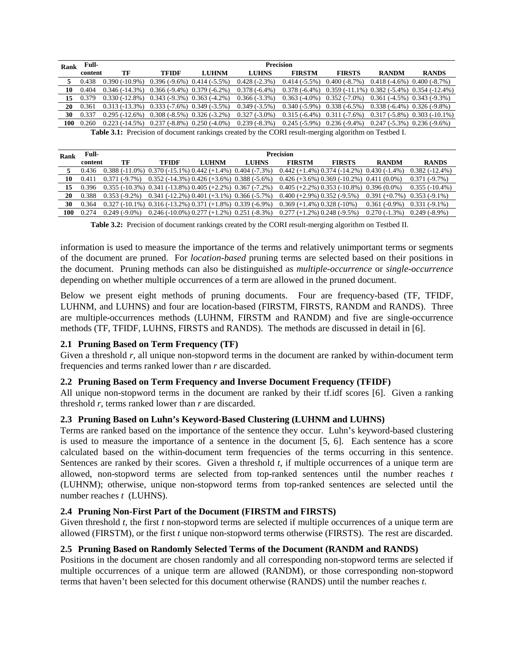| Rank | <b>Precision</b><br>Full-                                                                                   |                                                  |                                 |              |                 |                                                                 |                                                   |                                 |                                |
|------|-------------------------------------------------------------------------------------------------------------|--------------------------------------------------|---------------------------------|--------------|-----------------|-----------------------------------------------------------------|---------------------------------------------------|---------------------------------|--------------------------------|
|      | content                                                                                                     | ТF                                               | TFIDF                           | <b>LUHNM</b> | <b>LUHNS</b>    | <b>FIRSTM</b>                                                   | <b>FIRSTS</b>                                     | <b>RANDM</b>                    | <b>RANDS</b>                   |
|      | 0.438                                                                                                       | $0.390(-10.9\%)$                                 | $0.396(-9.6\%)$ $0.414(-5.5\%)$ |              | $0.428(-2.3%)$  | $0.414(-5.5\%)$                                                 | $0.400(-8.7%)$                                    | $0.418(-4.6\%)$ $0.400(-8.7\%)$ |                                |
| 10   | 0.404                                                                                                       | $0.346(-14.3\%)$ $0.366(-9.4\%)$ $0.379(-6.2\%)$ |                                 |              | $0.378(-6.4\%)$ | $0.378(-6.4\%)$                                                 | $0.359(-11.1\%)$ $0.382(-5.4\%)$ $0.354(-12.4\%)$ |                                 |                                |
| 15   | 0.379                                                                                                       | $0.330(-12.8\%)$                                 | $0.343(-9.3\%)$ $0.363(-4.2\%)$ |              | $0.366(-3.3\%)$ | $0.363(-4.0\%)$                                                 | $0.352(-7.0\%)$                                   | $0.361(-4.5\%)$ $0.343(-9.3\%)$ |                                |
| 20   | 0.361                                                                                                       | $0.313(-13.3\%)$ $0.333(-7.6\%)$ $0.349(-3.5\%)$ |                                 |              | $0.349(-3.5\%)$ |                                                                 | $0.340(-5.9\%)$ $0.338(-6.5\%)$                   | $0.338(-6.4\%)$ $0.326(-9.8\%)$ |                                |
| 30   | 0.337                                                                                                       | $0.295(-12.6%)$ $0.308(-8.5%)$ $0.326(-3.2%)$    |                                 |              | $0.327(-3.0\%)$ |                                                                 | $0.315(-6.4\%)$ $0.311(-7.6\%)$                   |                                 | $0.317(-5.8\%)$ 0.303 (-10.1%) |
| 100  | 0.260                                                                                                       | $0.223(-14.5%)$ $0.237(-8.8%)$ $0.250(-4.0%)$    |                                 |              | $0.239(-8.3\%)$ | $0.245(-5.9\%)$ $0.236(-9.4\%)$ $0.247(-5.3\%)$ $0.236(-9.6\%)$ |                                                   |                                 |                                |
|      | <b>Table 3.1:</b> Precision of document rankings created by the CORI result-merging algorithm on Testbed I. |                                                  |                                 |              |                 |                                                                 |                                                   |                                 |                                |

| Rank | Full-   | <b>Precision</b>                                                  |                                                                   |              |              |                                                 |               |                 |                  |
|------|---------|-------------------------------------------------------------------|-------------------------------------------------------------------|--------------|--------------|-------------------------------------------------|---------------|-----------------|------------------|
|      | content | ТF                                                                | <b>TFIDF</b>                                                      | <b>LUHNM</b> | <b>LUHNS</b> | <b>FIRSTM</b>                                   | <b>FIRSTS</b> | <b>RANDM</b>    | <b>RANDS</b>     |
|      | 0.436   | $0.388(-11.0\%)$ $0.370(-15.1\%)$ $0.442(+1.4\%)$ $0.404(-7.3\%)$ |                                                                   |              |              | $0.442 (+1.4\%) 0.374 (-14.2\%) 0.430 (-1.4\%)$ |               |                 | $0.382(-12.4\%)$ |
| 10   |         | $0.371(-9.7%)$                                                    | $0.352$ (-14.3%) $0.426$ (+3.6%) $0.388$ (-5.6%)                  |              |              | $0.426 (+3.6\%) 0.369 (-10.2\%) 0.411 (0.0\%)$  |               |                 | $0.371(-9.7%)$   |
| 15   | 0.396   |                                                                   | $0.355(-10.3\%)$ $0.341(-13.8\%)$ $0.405(+2.2\%)$ $0.367(-7.2\%)$ |              |              | $0.405 (+2.2\%) 0.353 (-10.8\%) 0.396 (0.0\%)$  |               |                 | $0.355(-10.4\%)$ |
| 20   | 0.388   | $0.353(-9.2\%)$                                                   | $0.341 (-12.2\%) 0.401 (+3.1\%) 0.366 (-5.7\%)$                   |              |              | $0.400 (+2.9\%) 0.352 (-9.5\%)$                 |               | $0.391 (+0.7%)$ | $0.353(-9.1\%)$  |
| 30   | 0.364   |                                                                   | $0.327(-10.1\%)$ $0.316(-13.2\%)$ $0.371(+1.8\%)$ $0.339(-6.9\%)$ |              |              | $0.369 (+1.4\%) 0.328 (-10\%)$                  |               | $0.361(-0.9\%)$ | $0.331(-9.1\%)$  |
| 100  | 0.274   | $0.249(-9.0\%)$                                                   | $0.246$ (-10.0%) $0.277$ (+1.2%) $0.251$ (-8.3%)                  |              |              | $0.277 (+1.2\%) 0.248 (-9.5\%)$                 |               | $0.270(-1.3%)$  | $0.249(-8.9\%)$  |

**Table 3.2:** Precision of document rankings created by the CORI result-merging algorithm on Testbed II.

information is used to measure the importance of the terms and relatively unimportant terms or segments of the document are pruned. For *location-based* pruning terms are selected based on their positions in the document. Pruning methods can also be distinguished as *multiple-occurrence* or *single-occurrence* depending on whether multiple occurrences of a term are allowed in the pruned document.

Below we present eight methods of pruning documents. Four are frequency-based (TF, TFIDF, LUHNM, and LUHNS) and four are location-based (FIRSTM, FIRSTS, RANDM and RANDS). Three are multiple-occurrences methods (LUHNM, FIRSTM and RANDM) and five are single-occurrence methods (TF, TFIDF, LUHNS, FIRSTS and RANDS). The methods are discussed in detail in [6].

## **2.1 Pruning Based on Term Frequency (TF)**

Given a threshold *r,* all unique non-stopword terms in the document are ranked by within-document term frequencies and terms ranked lower than *r* are discarded.

#### **2.2 Pruning Based on Term Frequency and Inverse Document Frequency (TFIDF)**

All unique non-stopword terms in the document are ranked by their tf.idf scores [6]. Given a ranking threshold *r*, terms ranked lower than *r* are discarded.

## **2.3 Pruning Based on Luhn's Keyword-Based Clustering (LUHNM and LUHNS)**

Terms are ranked based on the importance of the sentence they occur. Luhn's keyword-based clustering is used to measure the importance of a sentence in the document [5, 6]. Each sentence has a score calculated based on the within-document term frequencies of the terms occurring in this sentence. Sentences are ranked by their scores. Given a threshold *t*, if multiple occurrences of a unique term are allowed, non-stopword terms are selected from top-ranked sentences until the number reaches *t* (LUHNM); otherwise, unique non-stopword terms from top-ranked sentences are selected until the number reaches *t* (LUHNS).

#### **2.4 Pruning Non-First Part of the Document (FIRSTM and FIRSTS)**

Given threshold *t*, the first *t* non-stopword terms are selected if multiple occurrences of a unique term are allowed (FIRSTM), or the first *t* unique non-stopword terms otherwise (FIRSTS). The rest are discarded.

#### **2.5 Pruning Based on Randomly Selected Terms of the Document (RANDM and RANDS)**

Positions in the document are chosen randomly and all corresponding non-stopword terms are selected if multiple occurrences of a unique term are allowed (RANDM), or those corresponding non-stopword terms that haven't been selected for this document otherwise (RANDS) until the number reaches *t*.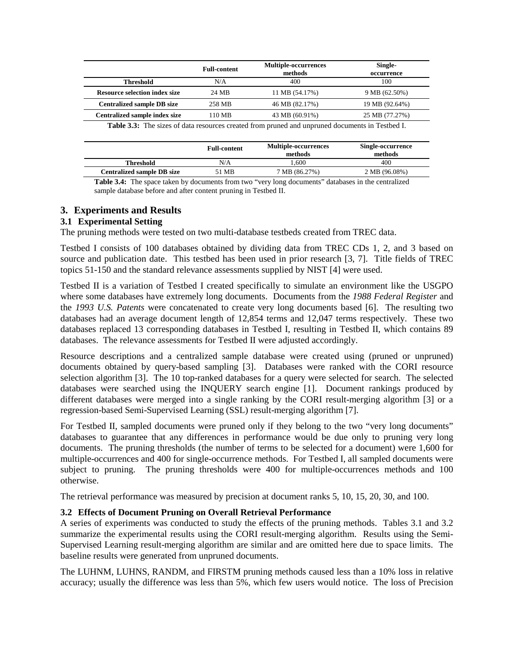|                                      | <b>Full-content</b> | <b>Multiple-occurrences</b><br>methods | Single-<br>occurrence |
|--------------------------------------|---------------------|----------------------------------------|-----------------------|
| <b>Threshold</b>                     | N/A                 | 400                                    | 100.                  |
| <b>Resource selection index size</b> | 24 MB               | 11 MB (54.17%)                         | 9 MB (62.50%)         |
| <b>Centralized sample DB size</b>    | 258 MB              | 46 MB (82.17%)                         | 19 MB (92.64%)        |
| <b>Centralized sample index size</b> | 110 MB              | 43 MB (60.91%)                         | 25 MB (77.27%)        |
|                                      |                     |                                        |                       |

**Table 3.3:** The sizes of data resources created from pruned and unpruned documents in Testbed I.

|                                   | <b>Full-content</b> | <b>Multiple-occurrences</b><br>methods                                                                          | Single-occurrence<br>methods |
|-----------------------------------|---------------------|-----------------------------------------------------------------------------------------------------------------|------------------------------|
| <b>Threshold</b>                  | N/A                 | .600                                                                                                            | 400                          |
| <b>Centralized sample DB size</b> | 51 MB               | 7 MB (86.27%)                                                                                                   | 2 MB (96.08%)                |
|                                   |                     | the contract of the contract of the contract of the contract of the contract of the contract of the contract of |                              |

**Table 3.4:** The space taken by documents from two "very long documents" databases in the centralized sample database before and after content pruning in Testbed II.

### **3. Experiments and Results**

#### **3.1 Experimental Setting**

The pruning methods were tested on two multi-database testbeds created from TREC data.

Testbed I consists of 100 databases obtained by dividing data from TREC CDs 1, 2, and 3 based on source and publication date. This testbed has been used in prior research [3, 7]. Title fields of TREC topics 51-150 and the standard relevance assessments supplied by NIST [4] were used.

Testbed II is a variation of Testbed I created specifically to simulate an environment like the USGPO where some databases have extremely long documents. Documents from the *1988 Federal Register* and the *1993 U.S. Patents* were concatenated to create very long documents based [6]. The resulting two databases had an average document length of 12,854 terms and 12,047 terms respectively. These two databases replaced 13 corresponding databases in Testbed I, resulting in Testbed II, which contains 89 databases. The relevance assessments for Testbed II were adjusted accordingly.

Resource descriptions and a centralized sample database were created using (pruned or unpruned) documents obtained by query-based sampling [3]. Databases were ranked with the CORI resource selection algorithm [3]. The 10 top-ranked databases for a query were selected for search. The selected databases were searched using the INQUERY search engine [1]. Document rankings produced by different databases were merged into a single ranking by the CORI result-merging algorithm [3] or a regression-based Semi-Supervised Learning (SSL) result-merging algorithm [7].

For Testbed II, sampled documents were pruned only if they belong to the two "very long documents" databases to guarantee that any differences in performance would be due only to pruning very long documents. The pruning thresholds (the number of terms to be selected for a document) were 1,600 for multiple-occurrences and 400 for single-occurrence methods. For Testbed I, all sampled documents were subject to pruning. The pruning thresholds were 400 for multiple-occurrences methods and 100 otherwise.

The retrieval performance was measured by precision at document ranks 5, 10, 15, 20, 30, and 100.

#### **3.2 Effects of Document Pruning on Overall Retrieval Performance**

A series of experiments was conducted to study the effects of the pruning methods. Tables 3.1 and 3.2 summarize the experimental results using the CORI result-merging algorithm. Results using the Semi-Supervised Learning result-merging algorithm are similar and are omitted here due to space limits. The baseline results were generated from unpruned documents.

The LUHNM, LUHNS, RANDM, and FIRSTM pruning methods caused less than a 10% loss in relative accuracy; usually the difference was less than 5%, which few users would notice. The loss of Precision